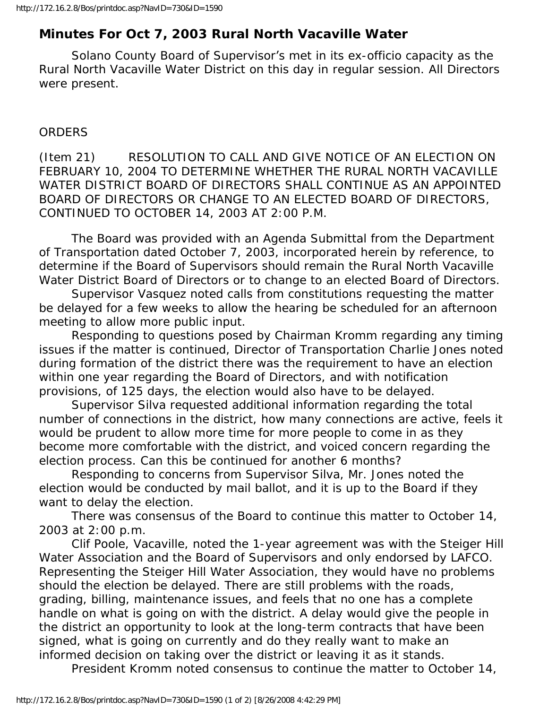## **Minutes For Oct 7, 2003 Rural North Vacaville Water**

 Solano County Board of Supervisor's met in its ex-officio capacity as the Rural North Vacaville Water District on this day in regular session. All Directors were present.

## ORDERS

(Item 21) RESOLUTION TO CALL AND GIVE NOTICE OF AN ELECTION ON FEBRUARY 10, 2004 TO DETERMINE WHETHER THE RURAL NORTH VACAVILLE WATER DISTRICT BOARD OF DIRECTORS SHALL CONTINUE AS AN APPOINTED BOARD OF DIRECTORS OR CHANGE TO AN ELECTED BOARD OF DIRECTORS, CONTINUED TO OCTOBER 14, 2003 AT 2:00 P.M.

 The Board was provided with an Agenda Submittal from the Department of Transportation dated October 7, 2003, incorporated herein by reference, to determine if the Board of Supervisors should remain the Rural North Vacaville Water District Board of Directors or to change to an elected Board of Directors.

 Supervisor Vasquez noted calls from constitutions requesting the matter be delayed for a few weeks to allow the hearing be scheduled for an afternoon meeting to allow more public input.

 Responding to questions posed by Chairman Kromm regarding any timing issues if the matter is continued, Director of Transportation Charlie Jones noted during formation of the district there was the requirement to have an election within one year regarding the Board of Directors, and with notification provisions, of 125 days, the election would also have to be delayed.

 Supervisor Silva requested additional information regarding the total number of connections in the district, how many connections are active, feels it would be prudent to allow more time for more people to come in as they become more comfortable with the district, and voiced concern regarding the election process. Can this be continued for another 6 months?

 Responding to concerns from Supervisor Silva, Mr. Jones noted the election would be conducted by mail ballot, and it is up to the Board if they want to delay the election.

 There was consensus of the Board to continue this matter to October 14, 2003 at 2:00 p.m.

 Clif Poole, Vacaville, noted the 1-year agreement was with the Steiger Hill Water Association and the Board of Supervisors and only endorsed by LAFCO. Representing the Steiger Hill Water Association, they would have no problems should the election be delayed. There are still problems with the roads, grading, billing, maintenance issues, and feels that no one has a complete handle on what is going on with the district. A delay would give the people in the district an opportunity to look at the long-term contracts that have been signed, what is going on currently and do they really want to make an informed decision on taking over the district or leaving it as it stands.

President Kromm noted consensus to continue the matter to October 14,